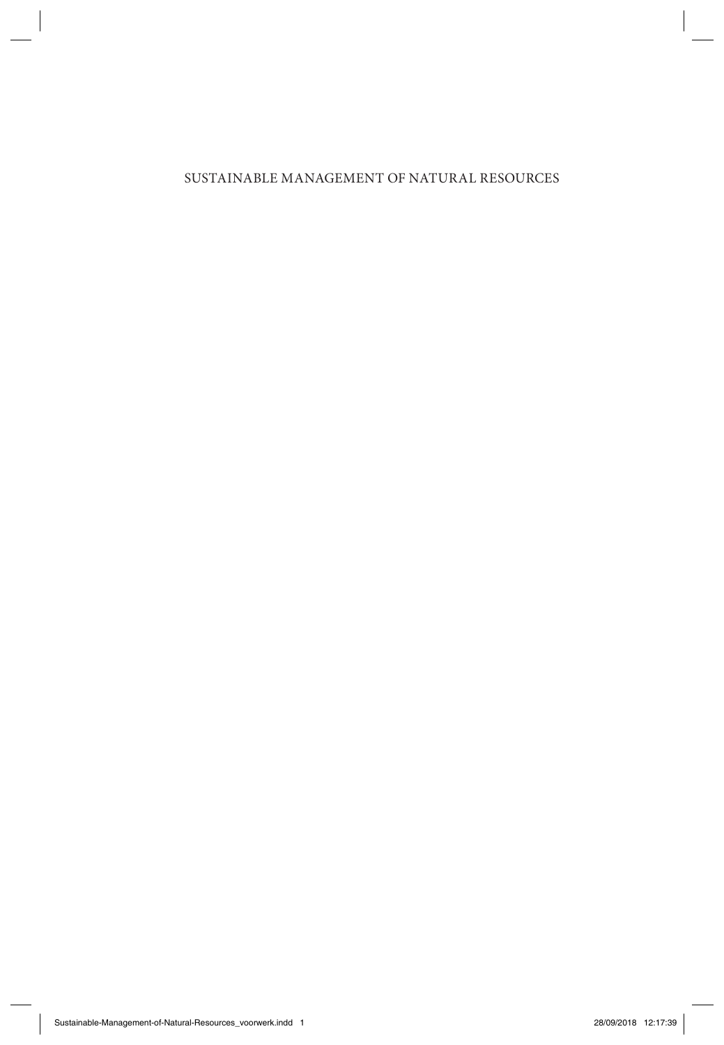### SUSTAINABLE MANAGEMENT OF NATURAL RESOURCES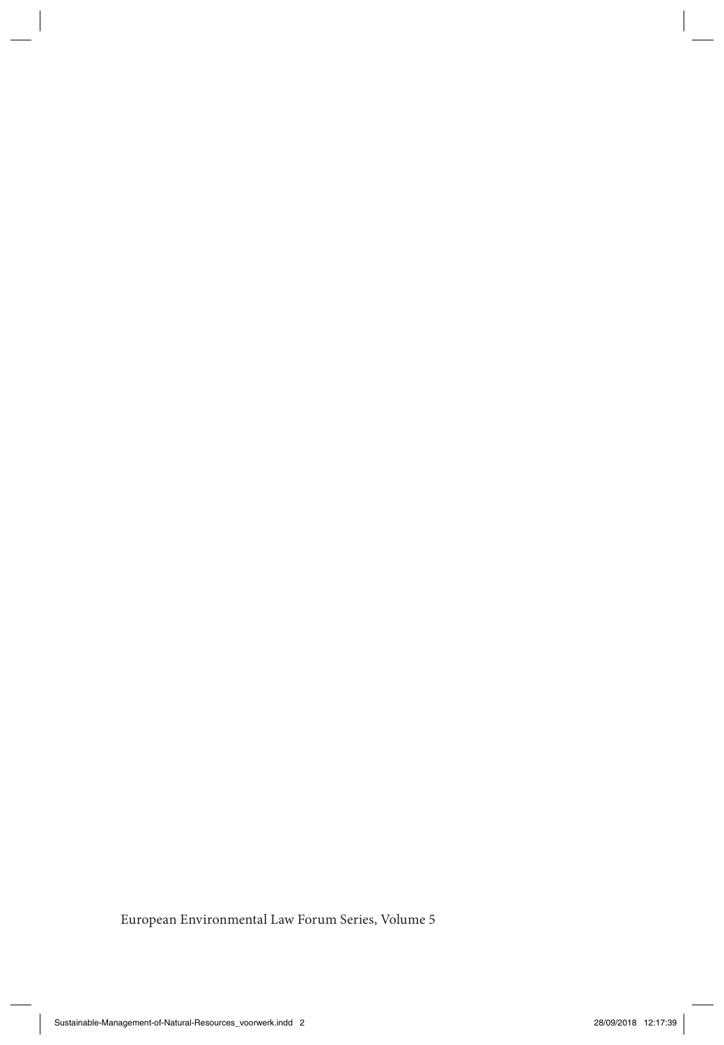European Environmental Law Forum Series, Volume 5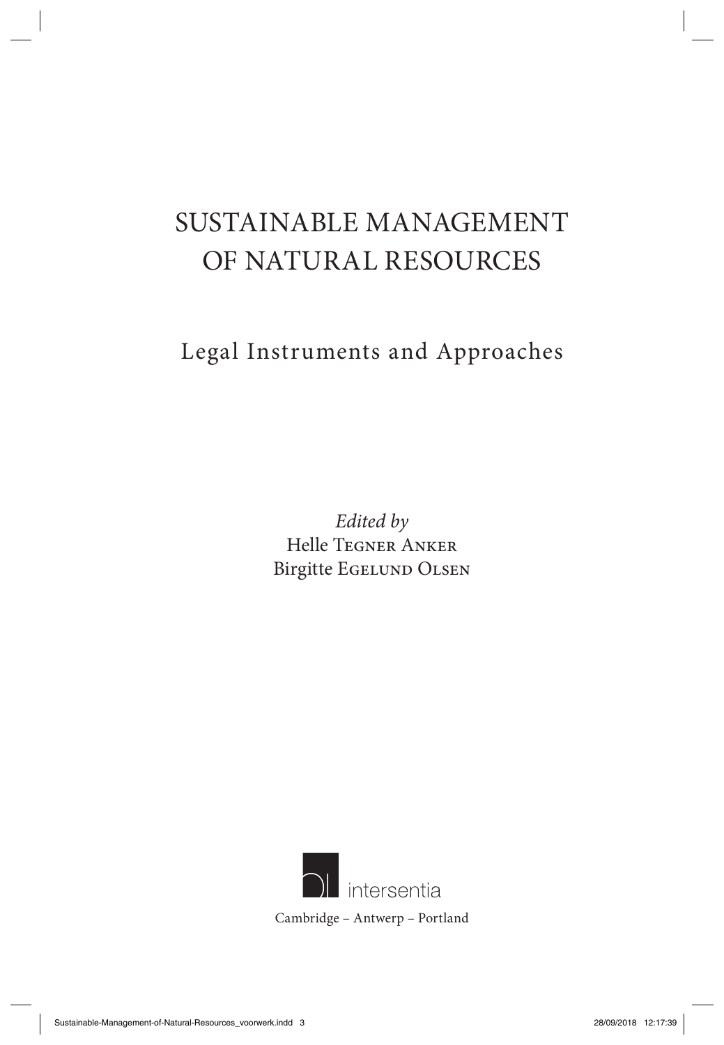# SUSTAINABLE MANAGEMENT OF NATURAL RESOURCES

Legal Instruments and Approaches

*Edited by*  Helle Tegner Anker Birgitte Egelund Olsen

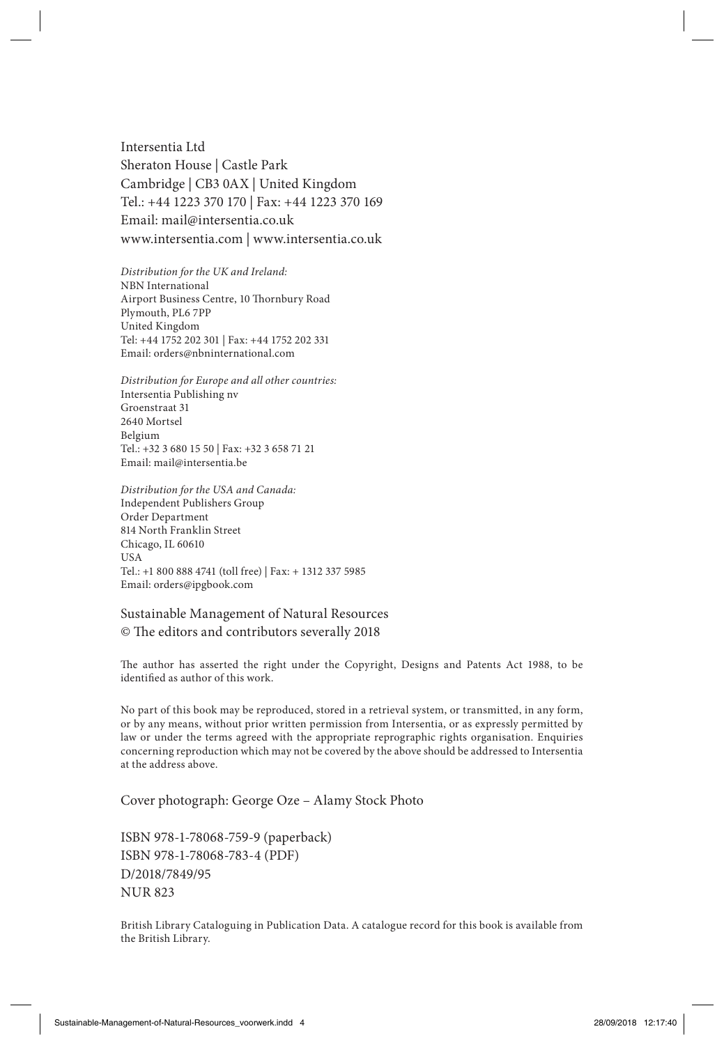Intersentia Ltd Sheraton House | Castle Park Cambridge | CB3 0AX | United Kingdom Tel.: +44 1223 370 170 | Fax: +44 1223 370 169 Email: mail@intersentia.co.uk www.intersentia.com | www.intersentia.co.uk

*Distribution for the UK and Ireland:* NBN International Airport Business Centre, 10 Thornbury Road Plymouth, PL6 7PP United Kingdom Tel: +44 1752 202 301 | Fax: +44 1752 202 331 Email: orders@nbninternational.com

*Distribution for Europe and all other countries:* Intersentia Publishing nv Groenstraat 31 2640 Mortsel Belgium Tel.: +32 3 680 15 50 | Fax: +32 3 658 71 21 Email: mail@intersentia.be

*Distribution for the USA and Canada:* Independent Publishers Group Order Department 814 North Franklin Street Chicago, IL 60610 USA Tel.: +1 800 888 4741 (toll free) | Fax: + 1312 337 5985 Email: orders@ipgbook.com

#### Sustainable Management of Natural Resources © The editors and contributors severally 2018

The author has asserted the right under the Copyright, Designs and Patents Act 1988, to be identified as author of this work.

No part of this book may be reproduced, stored in a retrieval system, or transmitted, in any form, or by any means, without prior written permission from Intersentia, or as expressly permitted by law or under the terms agreed with the appropriate reprographic rights organisation. Enquiries concerning reproduction which may not be covered by the above should be addressed to Intersentia at the address above.

Cover photograph: George Oze – Alamy Stock Photo

ISBN 978-1-78068-759-9 (paperback) ISBN 978-1-78068-783-4 (PDF) D/2018/7849/95 NUR 823

British Library Cataloguing in Publication Data. A catalogue record for this book is available from the British Library.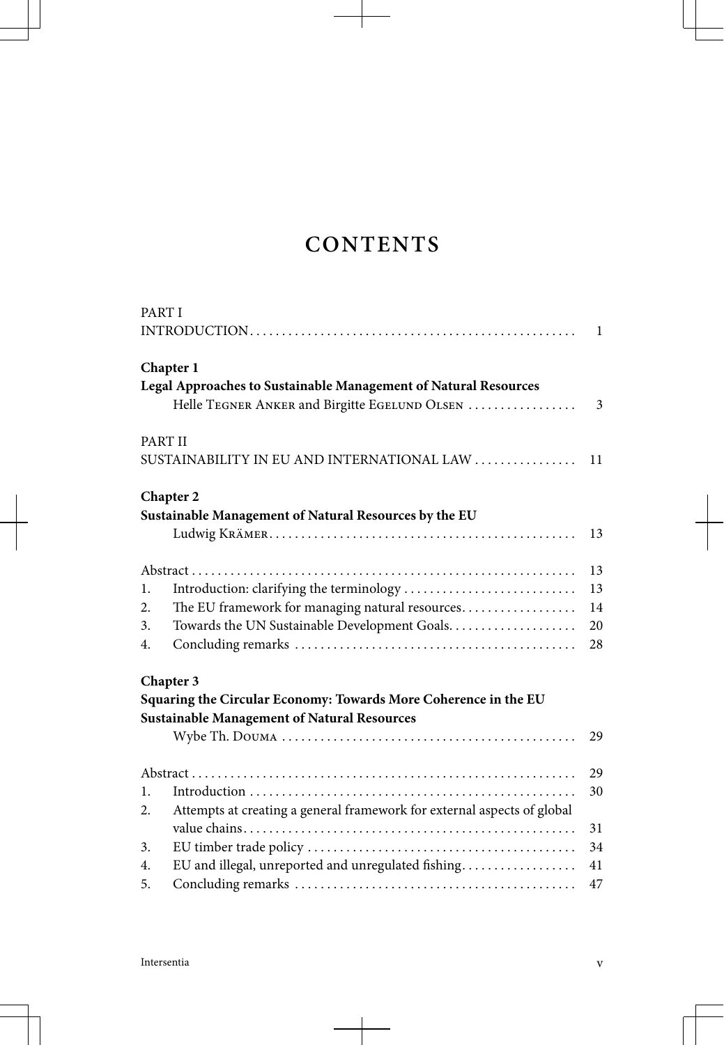# **CONTENTS**

| PART I |                                                                         |              |
|--------|-------------------------------------------------------------------------|--------------|
|        |                                                                         | $\mathbf{1}$ |
|        | Chapter 1                                                               |              |
|        | Legal Approaches to Sustainable Management of Natural Resources         |              |
|        | Helle TEGNER ANKER and Birgitte EGELUND OLSEN                           | 3            |
|        | PART II                                                                 |              |
|        | SUSTAINABILITY IN EU AND INTERNATIONAL LAW                              | 11           |
|        | Chapter 2                                                               |              |
|        | Sustainable Management of Natural Resources by the EU                   |              |
|        |                                                                         | 13           |
|        |                                                                         | 13           |
| 1.     |                                                                         | 13           |
| 2.     | The EU framework for managing natural resources                         | 14           |
| 3.     | Towards the UN Sustainable Development Goals                            | 20           |
| 4.     |                                                                         | 28           |
|        | Chapter 3                                                               |              |
|        | Squaring the Circular Economy: Towards More Coherence in the EU         |              |
|        | <b>Sustainable Management of Natural Resources</b>                      |              |
|        |                                                                         | 29           |
|        |                                                                         | 29           |
| 1.     |                                                                         | 30           |
| 2.     | Attempts at creating a general framework for external aspects of global | 31           |
| 3.     |                                                                         | 34           |
| 4.     | EU and illegal, unreported and unregulated fishing                      | 41           |
| 5.     |                                                                         | 47           |
|        |                                                                         |              |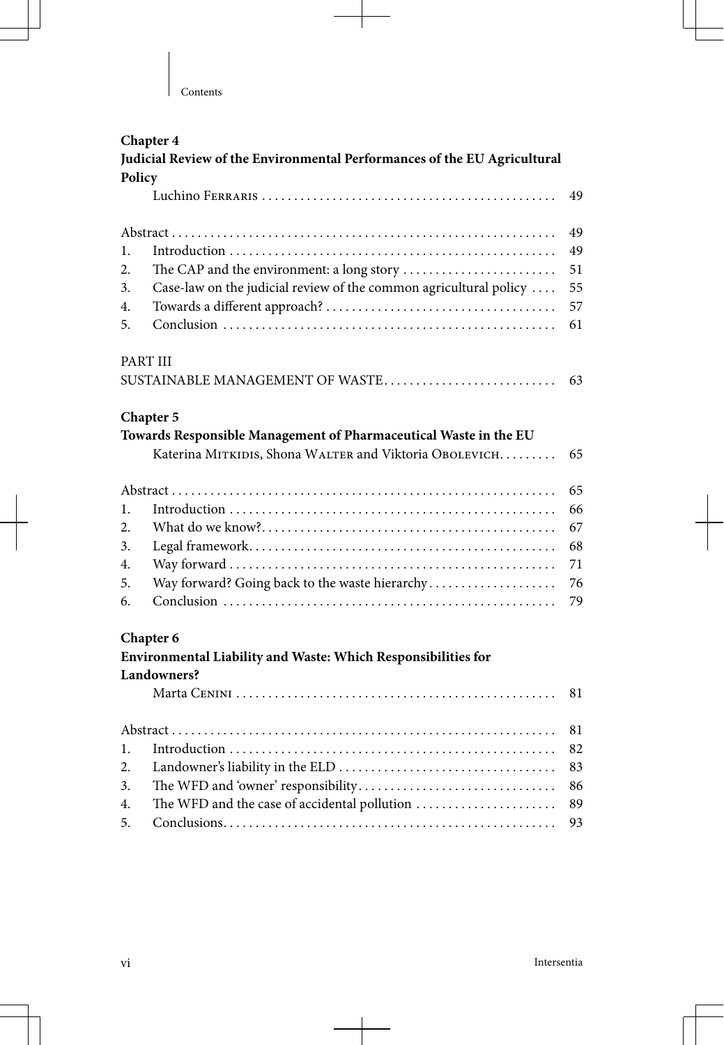$\mathbf{I}$ 

| Judicial Review of the Environmental Performances of the EU Agricultural |                                                                   |    |  |  |  |
|--------------------------------------------------------------------------|-------------------------------------------------------------------|----|--|--|--|
| Policy                                                                   |                                                                   |    |  |  |  |
|                                                                          |                                                                   | 49 |  |  |  |
|                                                                          |                                                                   |    |  |  |  |
| 1.                                                                       |                                                                   | 49 |  |  |  |
| 2.                                                                       |                                                                   | 51 |  |  |  |
| 3.                                                                       | Case-law on the judicial review of the common agricultural policy | 55 |  |  |  |
| 4.                                                                       |                                                                   | 57 |  |  |  |
| 5.                                                                       |                                                                   | 61 |  |  |  |
| PART III                                                                 |                                                                   |    |  |  |  |
|                                                                          | SUSTAINABLE MANAGEMENT OF WASTE                                   | 63 |  |  |  |
| Chapter 5                                                                |                                                                   |    |  |  |  |
|                                                                          | Towards Responsible Management of Pharmaceutical Waste in the EU  |    |  |  |  |
|                                                                          | Katerina MITKIDIS, Shona WALTER and Viktoria OBOLEVICH.           | 65 |  |  |  |
|                                                                          |                                                                   | 65 |  |  |  |
| 1.                                                                       |                                                                   | 66 |  |  |  |
| 2.                                                                       |                                                                   | 67 |  |  |  |
| 3.                                                                       |                                                                   | 68 |  |  |  |
| 4.                                                                       |                                                                   | 71 |  |  |  |
| 5.                                                                       | Way forward? Going back to the waste hierarchy                    | 76 |  |  |  |
| 6.                                                                       |                                                                   | 79 |  |  |  |
| Chapter 6                                                                |                                                                   |    |  |  |  |
|                                                                          | Environmental Liability and Waste: Which Responsibilities for     |    |  |  |  |
|                                                                          | Landowners?                                                       |    |  |  |  |
|                                                                          |                                                                   | 81 |  |  |  |
|                                                                          |                                                                   | 81 |  |  |  |
| 1.                                                                       |                                                                   | 82 |  |  |  |
| 2.                                                                       |                                                                   | 83 |  |  |  |
| 3.                                                                       |                                                                   | 86 |  |  |  |
| 4.                                                                       | The WFD and the case of accidental pollution                      | 89 |  |  |  |
| 5.                                                                       |                                                                   | 93 |  |  |  |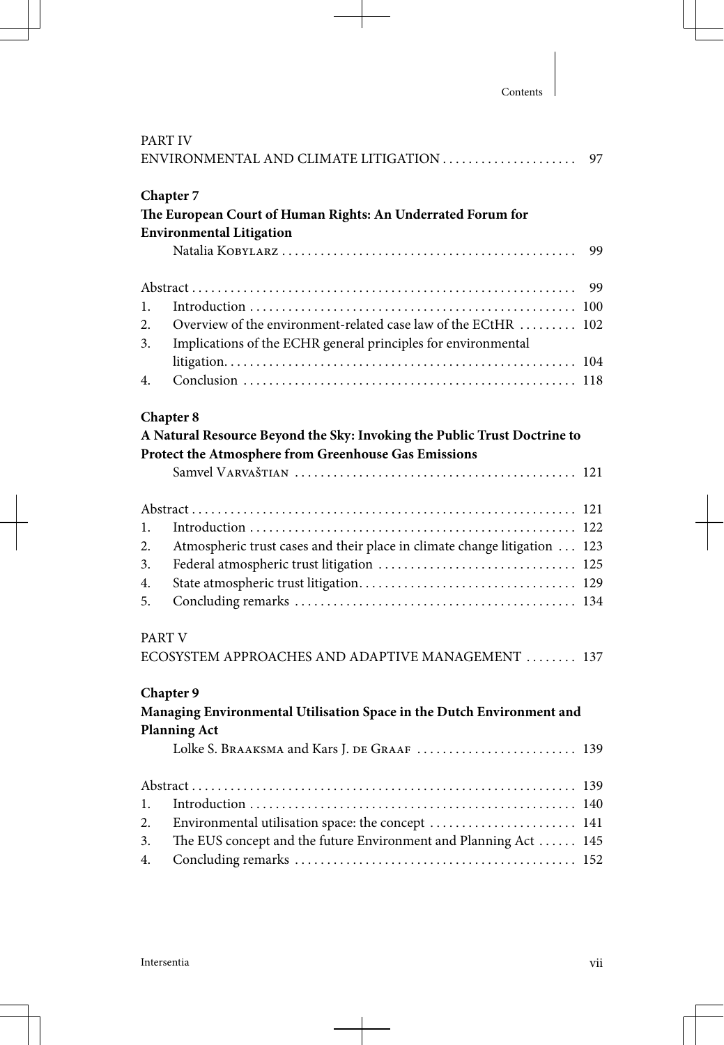| PART IV<br>ENVIRONMENTAL AND CLIMATE LITIGATION<br>97                                                                                         |                                                                                                                                                          |     |  |  |
|-----------------------------------------------------------------------------------------------------------------------------------------------|----------------------------------------------------------------------------------------------------------------------------------------------------------|-----|--|--|
|                                                                                                                                               | Chapter 7<br>The European Court of Human Rights: An Underrated Forum for<br><b>Environmental Litigation</b>                                              | 99  |  |  |
|                                                                                                                                               |                                                                                                                                                          | 99  |  |  |
| 1.                                                                                                                                            |                                                                                                                                                          |     |  |  |
| 2.<br>3.                                                                                                                                      | Overview of the environment-related case law of the ECtHR<br>Implications of the ECHR general principles for environmental                               | 102 |  |  |
| 4.                                                                                                                                            |                                                                                                                                                          |     |  |  |
| Chapter 8<br>A Natural Resource Beyond the Sky: Invoking the Public Trust Doctrine to<br>Protect the Atmosphere from Greenhouse Gas Emissions |                                                                                                                                                          |     |  |  |
| 1.<br>2.<br>3.<br>4.<br>5.                                                                                                                    | Atmospheric trust cases and their place in climate change litigation  123                                                                                |     |  |  |
| PART V                                                                                                                                        | ECOSYSTEM APPROACHES AND ADAPTIVE MANAGEMENT  137                                                                                                        |     |  |  |
|                                                                                                                                               | Chapter 9<br>Managing Environmental Utilisation Space in the Dutch Environment and<br><b>Planning Act</b><br>Lolke S. BRAAKSMA and Kars J. DE GRAAF  139 |     |  |  |
|                                                                                                                                               |                                                                                                                                                          |     |  |  |
| 1.                                                                                                                                            |                                                                                                                                                          |     |  |  |
| 2.                                                                                                                                            | Environmental utilisation space: the concept  141                                                                                                        |     |  |  |
| 3.                                                                                                                                            | The EUS concept and the future Environment and Planning Act  145                                                                                         |     |  |  |
| 4.                                                                                                                                            |                                                                                                                                                          |     |  |  |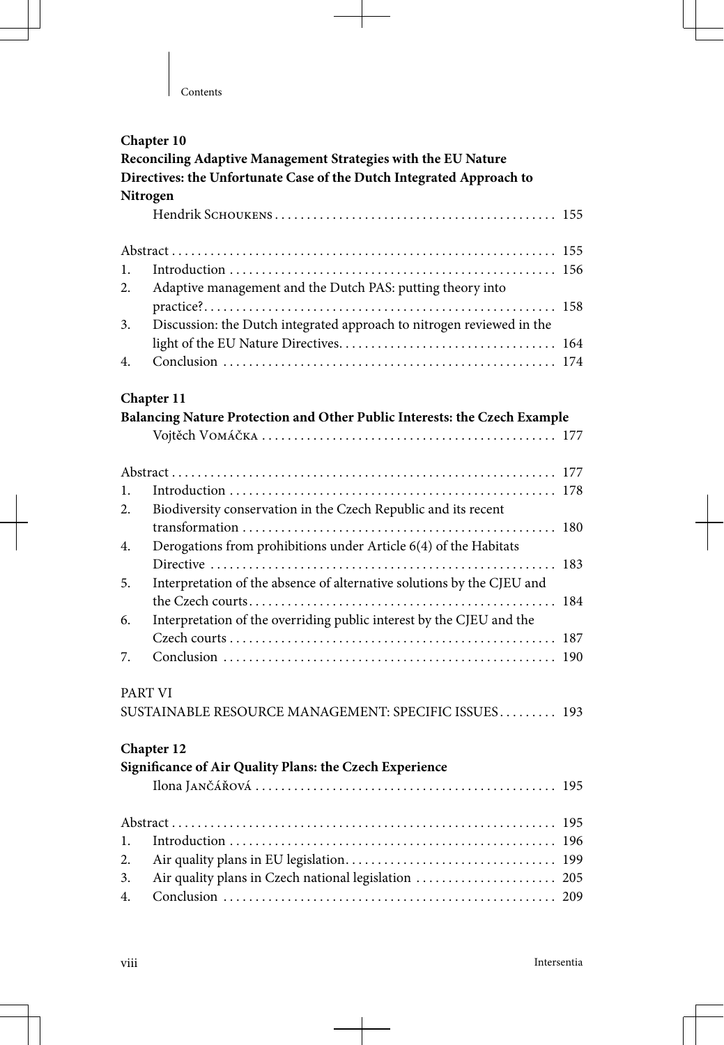$\mathbf{I}$ 

| Chapter 10                                                                                                                            |                                                                           |     |  |  |  |  |
|---------------------------------------------------------------------------------------------------------------------------------------|---------------------------------------------------------------------------|-----|--|--|--|--|
| Reconciling Adaptive Management Strategies with the EU Nature<br>Directives: the Unfortunate Case of the Dutch Integrated Approach to |                                                                           |     |  |  |  |  |
|                                                                                                                                       |                                                                           |     |  |  |  |  |
|                                                                                                                                       |                                                                           |     |  |  |  |  |
|                                                                                                                                       |                                                                           |     |  |  |  |  |
| 1.                                                                                                                                    |                                                                           |     |  |  |  |  |
| 2.                                                                                                                                    | Adaptive management and the Dutch PAS: putting theory into                |     |  |  |  |  |
|                                                                                                                                       |                                                                           |     |  |  |  |  |
| 3.                                                                                                                                    | Discussion: the Dutch integrated approach to nitrogen reviewed in the     |     |  |  |  |  |
|                                                                                                                                       |                                                                           | 164 |  |  |  |  |
| 4.                                                                                                                                    |                                                                           |     |  |  |  |  |
|                                                                                                                                       | Chapter 11                                                                |     |  |  |  |  |
|                                                                                                                                       | Balancing Nature Protection and Other Public Interests: the Czech Example |     |  |  |  |  |
|                                                                                                                                       |                                                                           |     |  |  |  |  |
|                                                                                                                                       |                                                                           |     |  |  |  |  |
| 1.                                                                                                                                    |                                                                           |     |  |  |  |  |
| 2.                                                                                                                                    | Biodiversity conservation in the Czech Republic and its recent            |     |  |  |  |  |
|                                                                                                                                       |                                                                           |     |  |  |  |  |
| 4.                                                                                                                                    | Derogations from prohibitions under Article 6(4) of the Habitats          |     |  |  |  |  |
|                                                                                                                                       |                                                                           |     |  |  |  |  |
| 5.                                                                                                                                    | Interpretation of the absence of alternative solutions by the CJEU and    |     |  |  |  |  |
|                                                                                                                                       |                                                                           | 184 |  |  |  |  |
| 6.                                                                                                                                    | Interpretation of the overriding public interest by the CJEU and the      |     |  |  |  |  |
|                                                                                                                                       |                                                                           |     |  |  |  |  |
| 7.                                                                                                                                    |                                                                           |     |  |  |  |  |
| PART VI                                                                                                                               |                                                                           |     |  |  |  |  |
|                                                                                                                                       | SUSTAINABLE RESOURCE MANAGEMENT: SPECIFIC ISSUES 193                      |     |  |  |  |  |
|                                                                                                                                       |                                                                           |     |  |  |  |  |
|                                                                                                                                       | Chapter 12                                                                |     |  |  |  |  |
|                                                                                                                                       | Significance of Air Quality Plans: the Czech Experience                   |     |  |  |  |  |
|                                                                                                                                       |                                                                           |     |  |  |  |  |
|                                                                                                                                       |                                                                           | 195 |  |  |  |  |
| 1.                                                                                                                                    |                                                                           | 196 |  |  |  |  |
| 2.                                                                                                                                    |                                                                           |     |  |  |  |  |
| 3.                                                                                                                                    | Air quality plans in Czech national legislation  205                      |     |  |  |  |  |
| 4.                                                                                                                                    |                                                                           |     |  |  |  |  |